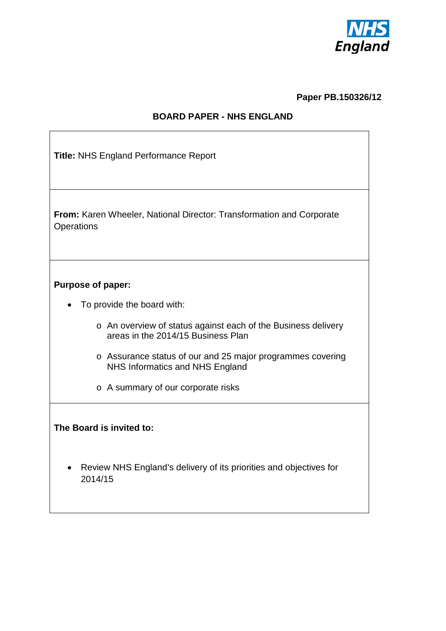

**Paper PB.150326/12**

#### **BOARD PAPER - NHS ENGLAND**

| <b>Title: NHS England Performance Report</b>                                                        |  |  |  |  |  |  |  |  |  |  |
|-----------------------------------------------------------------------------------------------------|--|--|--|--|--|--|--|--|--|--|
| From: Karen Wheeler, National Director: Transformation and Corporate<br>Operations                  |  |  |  |  |  |  |  |  |  |  |
|                                                                                                     |  |  |  |  |  |  |  |  |  |  |
| <b>Purpose of paper:</b>                                                                            |  |  |  |  |  |  |  |  |  |  |
| To provide the board with:                                                                          |  |  |  |  |  |  |  |  |  |  |
| o An overview of status against each of the Business delivery<br>areas in the 2014/15 Business Plan |  |  |  |  |  |  |  |  |  |  |
| o Assurance status of our and 25 major programmes covering<br>NHS Informatics and NHS England       |  |  |  |  |  |  |  |  |  |  |
| o A summary of our corporate risks                                                                  |  |  |  |  |  |  |  |  |  |  |
| The Board is invited to:                                                                            |  |  |  |  |  |  |  |  |  |  |
| Review NHS England's delivery of its priorities and objectives for<br>2014/15                       |  |  |  |  |  |  |  |  |  |  |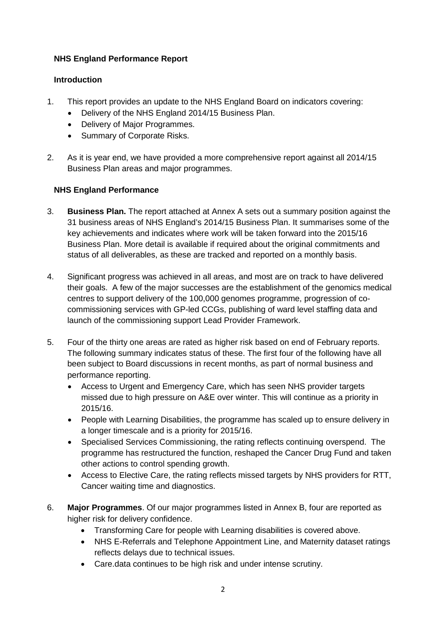#### **NHS England Performance Report**

#### **Introduction**

- 1. This report provides an update to the NHS England Board on indicators covering:
	- Delivery of the NHS England 2014/15 Business Plan.
	- Delivery of Major Programmes.
	- Summary of Corporate Risks.
- 2. As it is year end, we have provided a more comprehensive report against all 2014/15 Business Plan areas and major programmes.

#### **NHS England Performance**

- 3. **Business Plan.** The report attached at Annex A sets out a summary position against the 31 business areas of NHS England's 2014/15 Business Plan. It summarises some of the key achievements and indicates where work will be taken forward into the 2015/16 Business Plan. More detail is available if required about the original commitments and status of all deliverables, as these are tracked and reported on a monthly basis.
- 4. Significant progress was achieved in all areas, and most are on track to have delivered their goals. A few of the major successes are the establishment of the genomics medical centres to support delivery of the 100,000 genomes programme, progression of cocommissioning services with GP-led CCGs, publishing of ward level staffing data and launch of the commissioning support Lead Provider Framework.
- 5. Four of the thirty one areas are rated as higher risk based on end of February reports. The following summary indicates status of these. The first four of the following have all been subject to Board discussions in recent months, as part of normal business and performance reporting.
	- Access to Urgent and Emergency Care, which has seen NHS provider targets missed due to high pressure on A&E over winter. This will continue as a priority in 2015/16.
	- People with Learning Disabilities, the programme has scaled up to ensure delivery in a longer timescale and is a priority for 2015/16.
	- Specialised Services Commissioning, the rating reflects continuing overspend. The programme has restructured the function, reshaped the Cancer Drug Fund and taken other actions to control spending growth.
	- Access to Elective Care, the rating reflects missed targets by NHS providers for RTT, Cancer waiting time and diagnostics.
- 6. **Major Programmes**. Of our major programmes listed in Annex B, four are reported as higher risk for delivery confidence.
	- Transforming Care for people with Learning disabilities is covered above.
	- NHS E-Referrals and Telephone Appointment Line, and Maternity dataset ratings reflects delays due to technical issues.
	- Care.data continues to be high risk and under intense scrutiny.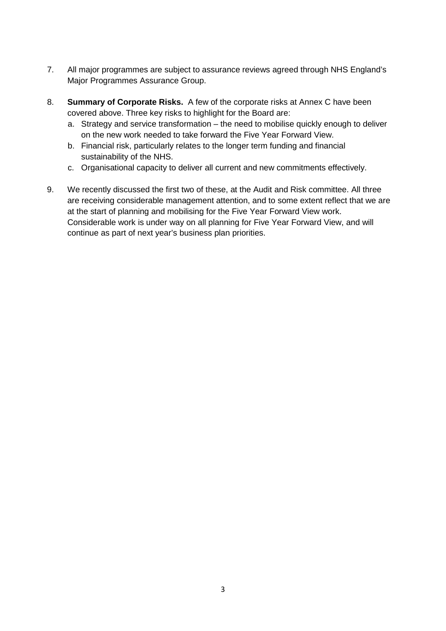- 7. All major programmes are subject to assurance reviews agreed through NHS England's Major Programmes Assurance Group.
- 8. **Summary of Corporate Risks.** A few of the corporate risks at Annex C have been covered above. Three key risks to highlight for the Board are:
	- a. Strategy and service transformation the need to mobilise quickly enough to deliver on the new work needed to take forward the Five Year Forward View.
	- b. Financial risk, particularly relates to the longer term funding and financial sustainability of the NHS.
	- c. Organisational capacity to deliver all current and new commitments effectively.
- 9. We recently discussed the first two of these, at the Audit and Risk committee. All three are receiving considerable management attention, and to some extent reflect that we are at the start of planning and mobilising for the Five Year Forward View work. Considerable work is under way on all planning for Five Year Forward View, and will continue as part of next year's business plan priorities.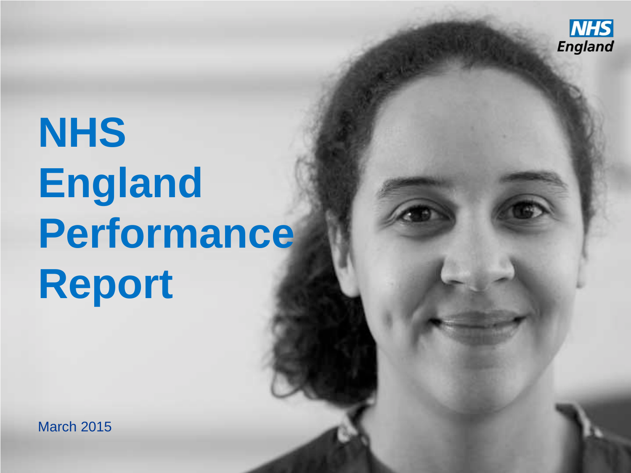

# **NHS England Performance Report**

March 2015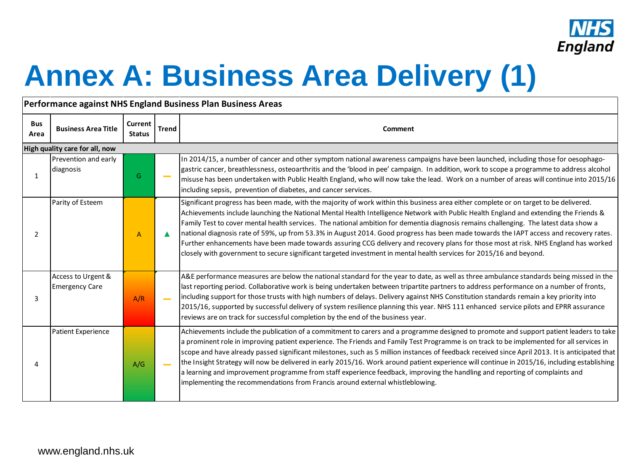

### **Annex A: Business Area Delivery (1)**

| <b>Bus</b><br>Area                                                                                                                                                                                                                                                                                                                                    | <b>Business Area Title</b> | Current<br><b>Status</b> | <b>Trend</b>                                                                                                                                                                                                                                                                                                                                                                                                                                                                               | Comment                                                                                                                                                                                                                                                                                                                                                                                                                                                                                                                                                                                                                                                                                                                                                                                                                        |  |  |  |  |  |  |
|-------------------------------------------------------------------------------------------------------------------------------------------------------------------------------------------------------------------------------------------------------------------------------------------------------------------------------------------------------|----------------------------|--------------------------|--------------------------------------------------------------------------------------------------------------------------------------------------------------------------------------------------------------------------------------------------------------------------------------------------------------------------------------------------------------------------------------------------------------------------------------------------------------------------------------------|--------------------------------------------------------------------------------------------------------------------------------------------------------------------------------------------------------------------------------------------------------------------------------------------------------------------------------------------------------------------------------------------------------------------------------------------------------------------------------------------------------------------------------------------------------------------------------------------------------------------------------------------------------------------------------------------------------------------------------------------------------------------------------------------------------------------------------|--|--|--|--|--|--|
|                                                                                                                                                                                                                                                                                                                                                       |                            |                          |                                                                                                                                                                                                                                                                                                                                                                                                                                                                                            |                                                                                                                                                                                                                                                                                                                                                                                                                                                                                                                                                                                                                                                                                                                                                                                                                                |  |  |  |  |  |  |
| Performance against NHS England Business Plan Business Areas<br>High quality care for all, now<br>Prevention and early<br>diagnosis<br>G<br>$\mathbf{1}$<br>Parity of Esteem<br>$\overline{2}$<br>$\overline{A}$<br>$\blacktriangle$<br>Access to Urgent &<br><b>Emergency Care</b><br>A/R<br>3<br>$\sim$<br>Patient Experience<br>A/G<br>4<br>$\sim$ |                            |                          | In 2014/15, a number of cancer and other symptom national awareness campaigns have been launched, including those for oesophago-<br>gastric cancer, breathlessness, osteoarthritis and the 'blood in pee' campaign. In addition, work to scope a programme to address alcohol<br>misuse has been undertaken with Public Health England, who will now take the lead. Work on a number of areas will continue into 2015/16<br>including sepsis, prevention of diabetes, and cancer services. |                                                                                                                                                                                                                                                                                                                                                                                                                                                                                                                                                                                                                                                                                                                                                                                                                                |  |  |  |  |  |  |
|                                                                                                                                                                                                                                                                                                                                                       |                            |                          |                                                                                                                                                                                                                                                                                                                                                                                                                                                                                            | Significant progress has been made, with the majority of work within this business area either complete or on target to be delivered.<br>Achievements include launching the National Mental Health Intelligence Network with Public Health England and extending the Friends &<br>Family Test to cover mental health services. The national ambition for dementia diagnosis remains challenging. The latest data show a<br>national diagnosis rate of 59%, up from 53.3% in August 2014. Good progress has been made towards the IAPT access and recovery rates.<br>Further enhancements have been made towards assuring CCG delivery and recovery plans for those most at risk. NHS England has worked<br>closely with government to secure significant targeted investment in mental health services for 2015/16 and beyond. |  |  |  |  |  |  |
|                                                                                                                                                                                                                                                                                                                                                       |                            |                          |                                                                                                                                                                                                                                                                                                                                                                                                                                                                                            | A&E performance measures are below the national standard for the year to date, as well as three ambulance standards being missed in the<br>last reporting period. Collaborative work is being undertaken between tripartite partners to address performance on a number of fronts,<br>including support for those trusts with high numbers of delays. Delivery against NHS Constitution standards remain a key priority into<br>2015/16, supported by successful delivery of system resilience planning this year. NHS 111 enhanced service pilots and EPRR assurance<br>reviews are on track for successful completion by the end of the business year.                                                                                                                                                                       |  |  |  |  |  |  |
|                                                                                                                                                                                                                                                                                                                                                       |                            |                          |                                                                                                                                                                                                                                                                                                                                                                                                                                                                                            | Achievements include the publication of a commitment to carers and a programme designed to promote and support patient leaders to take<br>a prominent role in improving patient experience. The Friends and Family Test Programme is on track to be implemented for all services in<br>scope and have already passed significant milestones, such as 5 million instances of feedback received since April 2013. It is anticipated that<br>the Insight Strategy will now be delivered in early 2015/16. Work around patient experience will continue in 2015/16, including establishing<br>a learning and improvement programme from staff experience feedback, improving the handling and reporting of complaints and<br>implementing the recommendations from Francis around external whistleblowing.                         |  |  |  |  |  |  |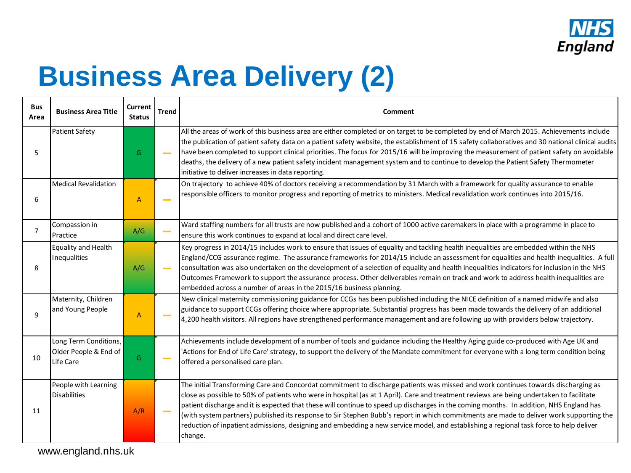

### **Business Area Delivery (2)**

| <b>Bus</b><br>Area | <b>Business Area Title</b>                                  | <b>Current</b><br><b>Status</b> | <b>Trend</b>    | Comment                                                                                                                                                                                                                                                                                                                                                                                                                                                                                                                                                                                                                                                                                                                  |
|--------------------|-------------------------------------------------------------|---------------------------------|-----------------|--------------------------------------------------------------------------------------------------------------------------------------------------------------------------------------------------------------------------------------------------------------------------------------------------------------------------------------------------------------------------------------------------------------------------------------------------------------------------------------------------------------------------------------------------------------------------------------------------------------------------------------------------------------------------------------------------------------------------|
| 5                  | Patient Safety                                              | G                               |                 | All the areas of work of this business area are either completed or on target to be completed by end of March 2015. Achievements include<br>the publication of patient safety data on a patient safety website, the establishment of 15 safety collaboratives and 30 national clinical audits<br>have been completed to support clinical priorities. The focus for 2015/16 will be improving the measurement of patient safety on avoidable<br>deaths, the delivery of a new patient safety incident management system and to continue to develop the Patient Safety Thermometer<br>initiative to deliver increases in data reporting.                                                                                   |
| 6                  | <b>Medical Revalidation</b>                                 | A                               |                 | On trajectory to achieve 40% of doctors receiving a recommendation by 31 March with a framework for quality assurance to enable<br>responsible officers to monitor progress and reporting of metrics to ministers. Medical revalidation work continues into 2015/16.                                                                                                                                                                                                                                                                                                                                                                                                                                                     |
| 7                  | Compassion in<br>Practice                                   | A/G                             |                 | Ward staffing numbers for all trusts are now published and a cohort of 1000 active caremakers in place with a programme in place to<br>ensure this work continues to expand at local and direct care level.                                                                                                                                                                                                                                                                                                                                                                                                                                                                                                              |
| 8                  | Equality and Health<br>Inequalities                         | A/G                             | <b>Contract</b> | Key progress in 2014/15 includes work to ensure that issues of equality and tackling health inequalities are embedded within the NHS<br>England/CCG assurance regime. The assurance frameworks for 2014/15 include an assessment for equalities and health inequalities. A full<br>consultation was also undertaken on the development of a selection of equality and health inequalities indicators for inclusion in the NHS<br>Outcomes Framework to support the assurance process. Other deliverables remain on track and work to address health inequalities are<br>embedded across a number of areas in the 2015/16 business planning.                                                                              |
| 9                  | Maternity, Children<br>and Young People                     | $\overline{A}$                  |                 | New clinical maternity commissioning guidance for CCGs has been published including the NICE definition of a named midwife and also<br>guidance to support CCGs offering choice where appropriate. Substantial progress has been made towards the delivery of an additional<br>4,200 health visitors. All regions have strengthened performance management and are following up with providers below trajectory.                                                                                                                                                                                                                                                                                                         |
| 10                 | Long Term Conditions,<br>Older People & End of<br>Life Care | G                               |                 | Achievements include development of a number of tools and guidance including the Healthy Aging guide co-produced with Age UK and<br>'Actions for End of Life Care' strategy, to support the delivery of the Mandate commitment for everyone with a long term condition being<br>offered a personalised care plan.                                                                                                                                                                                                                                                                                                                                                                                                        |
| 11                 | People with Learning<br><b>Disabilities</b>                 | A/R                             | <b>Contract</b> | The initial Transforming Care and Concordat commitment to discharge patients was missed and work continues towards discharging as<br>close as possible to 50% of patients who were in hospital (as at 1 April). Care and treatment reviews are being undertaken to facilitate<br>patient discharge and it is expected that these will continue to speed up discharges in the coming months. In addition, NHS England has<br>(with system partners) published its response to Sir Stephen Bubb's report in which commitments are made to deliver work supporting the<br>reduction of inpatient admissions, designing and embedding a new service model, and establishing a regional task force to help deliver<br>change. |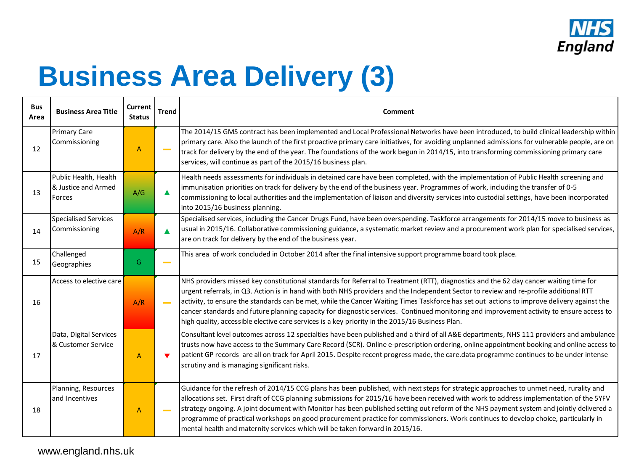

### **Business Area Delivery (3)**

| <b>Bus</b><br>Area | <b>Business Area Title</b>                             | Current<br><b>Status</b> | <b>Trend</b>             | Comment                                                                                                                                                                                                                                                                                                                                                                                                                                                                                                                                                                                                                                                                     |
|--------------------|--------------------------------------------------------|--------------------------|--------------------------|-----------------------------------------------------------------------------------------------------------------------------------------------------------------------------------------------------------------------------------------------------------------------------------------------------------------------------------------------------------------------------------------------------------------------------------------------------------------------------------------------------------------------------------------------------------------------------------------------------------------------------------------------------------------------------|
| 12                 | <b>Primary Care</b><br>Commissioning                   | A                        |                          | The 2014/15 GMS contract has been implemented and Local Professional Networks have been introduced, to build clinical leadership within<br>primary care. Also the launch of the first proactive primary care initiatives, for avoiding unplanned admissions for vulnerable people, are on<br>track for delivery by the end of the year. The foundations of the work begun in 2014/15, into transforming commissioning primary care<br>services, will continue as part of the 2015/16 business plan.                                                                                                                                                                         |
| 13                 | Public Health, Health<br>& Justice and Armed<br>Forces | A/G                      |                          | Health needs assessments for individuals in detained care have been completed, with the implementation of Public Health screening and<br>immunisation priorities on track for delivery by the end of the business year. Programmes of work, including the transfer of 0-5<br>commissioning to local authorities and the implementation of liaison and diversity services into custodial settings, have been incorporated<br>into 2015/16 business planning.                                                                                                                                                                                                                 |
| 14                 | Specialised Services<br>Commissioning                  | A/R                      | ▲                        | Specialised services, including the Cancer Drugs Fund, have been overspending. Taskforce arrangements for 2014/15 move to business as<br>usual in 2015/16. Collaborative commissioning guidance, a systematic market review and a procurement work plan for specialised services,<br>are on track for delivery by the end of the business year.                                                                                                                                                                                                                                                                                                                             |
| 15                 | Challenged<br>Geographies                              | G                        |                          | This area of work concluded in October 2014 after the final intensive support programme board took place.                                                                                                                                                                                                                                                                                                                                                                                                                                                                                                                                                                   |
| 16                 | Access to elective care                                | A/R                      | $\overline{\phantom{a}}$ | NHS providers missed key constitutional standards for Referral to Treatment (RTT), diagnostics and the 62 day cancer waiting time for<br>urgent referrals, in Q3. Action is in hand with both NHS providers and the Independent Sector to review and re-profile additional RTT<br>activity, to ensure the standards can be met, while the Cancer Waiting Times Taskforce has set out actions to improve delivery against the<br>cancer standards and future planning capacity for diagnostic services. Continued monitoring and improvement activity to ensure access to<br>high quality, accessible elective care services is a key priority in the 2015/16 Business Plan. |
| 17                 | Data, Digital Services<br>l& Customer Service          | $\overline{A}$           | $\blacktriangledown$     | Consultant level outcomes across 12 specialties have been published and a third of all A&E departments, NHS 111 providers and ambulance<br>trusts now have access to the Summary Care Record (SCR). Online e-prescription ordering, online appointment booking and online access to<br>patient GP records are all on track for April 2015. Despite recent progress made, the care.data programme continues to be under intense<br>scrutiny and is managing significant risks.                                                                                                                                                                                               |
| 18                 | Planning, Resources<br>and Incentives                  | A                        |                          | Guidance for the refresh of 2014/15 CCG plans has been published, with next steps for strategic approaches to unmet need, rurality and<br>allocations set. First draft of CCG planning submissions for 2015/16 have been received with work to address implementation of the 5YFV<br>strategy ongoing. A joint document with Monitor has been published setting out reform of the NHS payment system and jointly delivered a<br>programme of practical workshops on good procurement practice for commissioners. Work continues to develop choice, particularly in<br>mental health and maternity services which will be taken forward in 2015/16.                          |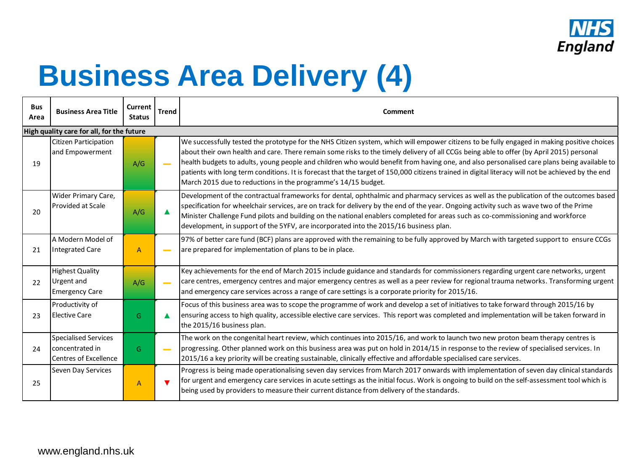

### **Business Area Delivery (4)**

| <b>Bus</b><br>Area | <b>Business Area Title</b>                                                      | Current<br><b>Status</b> | <b>Trend</b>             | Comment                                                                                                                                                                                                                                                                                                                                                                                                                                                                                                                                                                                                                                                      |  |  |  |  |  |  |  |  |
|--------------------|---------------------------------------------------------------------------------|--------------------------|--------------------------|--------------------------------------------------------------------------------------------------------------------------------------------------------------------------------------------------------------------------------------------------------------------------------------------------------------------------------------------------------------------------------------------------------------------------------------------------------------------------------------------------------------------------------------------------------------------------------------------------------------------------------------------------------------|--|--|--|--|--|--|--|--|
|                    | High quality care for all, for the future                                       |                          |                          |                                                                                                                                                                                                                                                                                                                                                                                                                                                                                                                                                                                                                                                              |  |  |  |  |  |  |  |  |
| 19                 | Citizen Participation<br>and Empowerment                                        | A/G                      |                          | We successfully tested the prototype for the NHS Citizen system, which will empower citizens to be fully engaged in making positive choices<br>about their own health and care. There remain some risks to the timely delivery of all CCGs being able to offer (by April 2015) personal<br>health budgets to adults, young people and children who would benefit from having one, and also personalised care plans being available to<br>patients with long term conditions. It is forecast that the target of 150,000 citizens trained in digital literacy will not be achieved by the end<br>March 2015 due to reductions in the programme's 14/15 budget. |  |  |  |  |  |  |  |  |
| 20                 | Wider Primary Care,<br>Provided at Scale                                        | A/G                      |                          | Development of the contractual frameworks for dental, ophthalmic and pharmacy services as well as the publication of the outcomes based<br>specification for wheelchair services, are on track for delivery by the end of the year. Ongoing activity such as wave two of the Prime<br>Minister Challenge Fund pilots and building on the national enablers completed for areas such as co-commissioning and workforce<br>development, in support of the 5YFV, are incorporated into the 2015/16 business plan.                                                                                                                                               |  |  |  |  |  |  |  |  |
| 21                 | A Modern Model of<br>Integrated Care                                            | $\overline{A}$           | $\overline{\phantom{a}}$ | 97% of better care fund (BCF) plans are approved with the remaining to be fully approved by March with targeted support to ensure CCGs<br>are prepared for implementation of plans to be in place.                                                                                                                                                                                                                                                                                                                                                                                                                                                           |  |  |  |  |  |  |  |  |
| 22                 | <b>Highest Quality</b><br><b>Urgent</b> and<br><b>Emergency Care</b>            | A/G                      | $\sim$                   | Key achievements for the end of March 2015 include guidance and standards for commissioners regarding urgent care networks, urgent<br>care centres, emergency centres and major emergency centres as well as a peer review for regional trauma networks. Transforming urgent<br>and emergency care services across a range of care settings is a corporate priority for 2015/16.                                                                                                                                                                                                                                                                             |  |  |  |  |  |  |  |  |
| 23                 | Productivity of<br><b>Elective Care</b>                                         | G                        |                          | Focus of this business area was to scope the programme of work and develop a set of initiatives to take forward through 2015/16 by<br>ensuring access to high quality, accessible elective care services. This report was completed and implementation will be taken forward in<br>the 2015/16 business plan.                                                                                                                                                                                                                                                                                                                                                |  |  |  |  |  |  |  |  |
| 24                 | <b>Specialised Services</b><br>Iconcentrated in<br><b>Centres of Excellence</b> | G                        |                          | The work on the congenital heart review, which continues into 2015/16, and work to launch two new proton beam therapy centres is<br>progressing. Other planned work on this business area was put on hold in 2014/15 in response to the review of specialised services. In<br>2015/16 a key priority will be creating sustainable, clinically effective and affordable specialised care services.                                                                                                                                                                                                                                                            |  |  |  |  |  |  |  |  |
| 25                 | Seven Day Services                                                              | $\overline{A}$           | $\blacksquare$           | Progress is being made operationalising seven day services from March 2017 onwards with implementation of seven day clinical standards<br>for urgent and emergency care services in acute settings as the initial focus. Work is ongoing to build on the self-assessment tool which is<br>being used by providers to measure their current distance from delivery of the standards.                                                                                                                                                                                                                                                                          |  |  |  |  |  |  |  |  |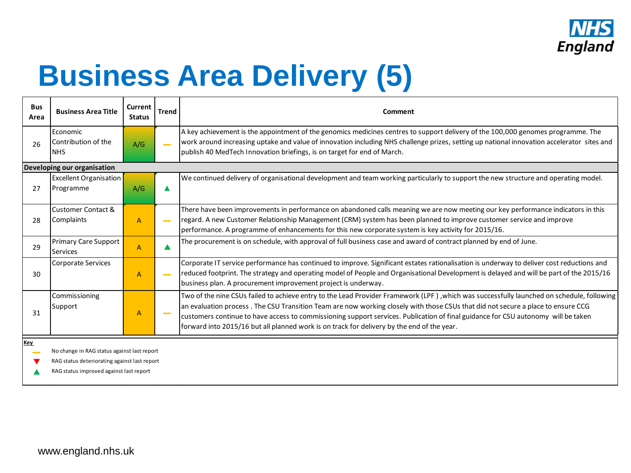

### **Business Area Delivery (5)**

| <b>Bus</b><br>Area | <b>Business Area Title</b>                     | Current<br><b>Status</b> | <b>Trend</b> | Comment                                                                                                                                                                                                                                                                                                                                                                                                                                                                                                          |  |  |  |  |  |  |  |
|--------------------|------------------------------------------------|--------------------------|--------------|------------------------------------------------------------------------------------------------------------------------------------------------------------------------------------------------------------------------------------------------------------------------------------------------------------------------------------------------------------------------------------------------------------------------------------------------------------------------------------------------------------------|--|--|--|--|--|--|--|
| 26                 | Economic<br>Contribution of the<br><b>INHS</b> | A/G                      |              | A key achievement is the appointment of the genomics medicines centres to support delivery of the 100,000 genomes programme. The<br>work around increasing uptake and value of innovation including NHS challenge prizes, setting up national innovation accelerator sites and<br>publish 40 MedTech Innovation briefings, is on target for end of March.                                                                                                                                                        |  |  |  |  |  |  |  |
|                    | Developing our organisation                    |                          |              |                                                                                                                                                                                                                                                                                                                                                                                                                                                                                                                  |  |  |  |  |  |  |  |
| 27                 | <b>Excellent Organisation</b><br>Programme     | A/G                      |              | We continued delivery of organisational development and team working particularly to support the new structure and operating model.                                                                                                                                                                                                                                                                                                                                                                              |  |  |  |  |  |  |  |
| 28                 | Customer Contact &<br><b>Complaints</b>        | $\overline{A}$           |              | There have been improvements in performance on abandoned calls meaning we are now meeting our key performance indicators in this<br>regard. A new Customer Relationship Management (CRM) system has been planned to improve customer service and improve<br>performance. A programme of enhancements for this new corporate system is key activity for 2015/16.                                                                                                                                                  |  |  |  |  |  |  |  |
| 29                 | Primary Care Support<br><b>Services</b>        | A                        |              | The procurement is on schedule, with approval of full business case and award of contract planned by end of June.                                                                                                                                                                                                                                                                                                                                                                                                |  |  |  |  |  |  |  |
| 30                 | <b>Corporate Services</b>                      | $\overline{A}$           |              | Corporate IT service performance has continued to improve. Significant estates rationalisation is underway to deliver cost reductions and<br>reduced footprint. The strategy and operating model of People and Organisational Development is delayed and will be part of the 2015/16<br>business plan. A procurement improvement project is underway.                                                                                                                                                            |  |  |  |  |  |  |  |
| 31                 | Commissioning<br>Support                       | A                        |              | Two of the nine CSUs failed to achieve entry to the Lead Provider Framework (LPF), which was successfully launched on schedule, following<br>an evaluation process. The CSU Transition Team are now working closely with those CSUs that did not secure a place to ensure CCG<br>customers continue to have access to commissioning support services. Publication of final guidance for CSU autonomy will be taken<br>forward into 2015/16 but all planned work is on track for delivery by the end of the year. |  |  |  |  |  |  |  |
| Key                | No change in RAG status against last report    |                          |              |                                                                                                                                                                                                                                                                                                                                                                                                                                                                                                                  |  |  |  |  |  |  |  |

RAG status deteriorating against last report

RAG status improved against last report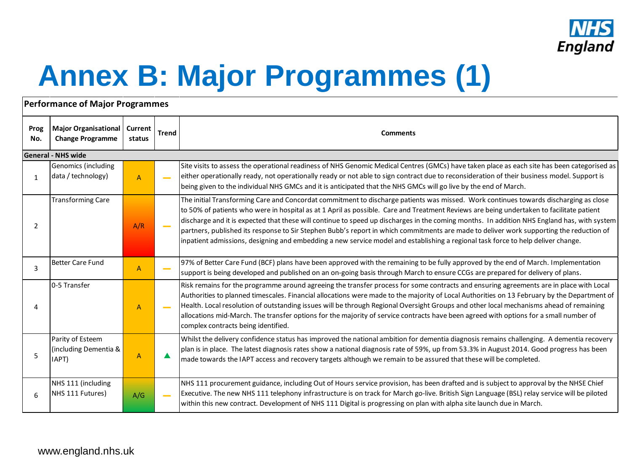

# **Annex B: Major Programmes (1)**

#### **Performance of Major Programmes**

| Prog<br>No.  | <b>Major Organisational</b><br><b>Change Programme</b> | <b>Current</b><br>status                                                                                                                                                                                                                                                  | <b>Trend</b> | <b>Comments</b>                                                                                                                                                                                                                                                                                                                                                                                                                                                                                                                                                                                                                                                                                                |  |
|--------------|--------------------------------------------------------|---------------------------------------------------------------------------------------------------------------------------------------------------------------------------------------------------------------------------------------------------------------------------|--------------|----------------------------------------------------------------------------------------------------------------------------------------------------------------------------------------------------------------------------------------------------------------------------------------------------------------------------------------------------------------------------------------------------------------------------------------------------------------------------------------------------------------------------------------------------------------------------------------------------------------------------------------------------------------------------------------------------------------|--|
|              | <b>General - NHS wide</b>                              |                                                                                                                                                                                                                                                                           |              |                                                                                                                                                                                                                                                                                                                                                                                                                                                                                                                                                                                                                                                                                                                |  |
| $\mathbf{1}$ | Genomics (including<br>data / technology)              | $\overline{A}$                                                                                                                                                                                                                                                            |              | Site visits to assess the operational readiness of NHS Genomic Medical Centres (GMCs) have taken place as each site has been categorised as<br>either operationally ready, not operationally ready or not able to sign contract due to reconsideration of their business model. Support is<br>being given to the individual NHS GMCs and it is anticipated that the NHS GMCs will go live by the end of March.                                                                                                                                                                                                                                                                                                 |  |
| 2            | <b>Transforming Care</b>                               | A/R                                                                                                                                                                                                                                                                       |              | The initial Transforming Care and Concordat commitment to discharge patients was missed. Work continues towards discharging as close<br>to 50% of patients who were in hospital as at 1 April as possible. Care and Treatment Reviews are being undertaken to facilitate patient<br>discharge and it is expected that these will continue to speed up discharges in the coming months. In addition NHS England has, with system<br>partners, published its response to Sir Stephen Bubb's report in which commitments are made to deliver work supporting the reduction of<br>inpatient admissions, designing and embedding a new service model and establishing a regional task force to help deliver change. |  |
| 3            | Better Care Fund                                       | 97% of Better Care Fund (BCF) plans have been approved with the remaining to be fully approved by the end of March. Implementation<br>A<br>support is being developed and published on an on-going basis through March to ensure CCGs are prepared for delivery of plans. |              |                                                                                                                                                                                                                                                                                                                                                                                                                                                                                                                                                                                                                                                                                                                |  |
|              | 0-5 Transfer                                           | $\overline{A}$                                                                                                                                                                                                                                                            |              | Risk remains for the programme around agreeing the transfer process for some contracts and ensuring agreements are in place with Local<br>Authorities to planned timescales. Financial allocations were made to the majority of Local Authorities on 13 February by the Department of<br>Health. Local resolution of outstanding issues will be through Regional Oversight Groups and other local mechanisms ahead of remaining<br>allocations mid-March. The transfer options for the majority of service contracts have been agreed with options for a small number of<br>complex contracts being identified.                                                                                                |  |
| 5            | Parity of Esteem<br>(including Dementia &<br>IAPT)     | $\overline{A}$                                                                                                                                                                                                                                                            |              | Whilst the delivery confidence status has improved the national ambition for dementia diagnosis remains challenging. A dementia recovery<br>plan is in place. The latest diagnosis rates show a national diagnosis rate of 59%, up from 53.3% in August 2014. Good progress has been<br>made towards the IAPT access and recovery targets although we remain to be assured that these will be completed.                                                                                                                                                                                                                                                                                                       |  |
| 6            | NHS 111 (including<br>NHS 111 Futures)                 | A/G                                                                                                                                                                                                                                                                       |              | NHS 111 procurement guidance, including Out of Hours service provision, has been drafted and is subject to approval by the NHSE Chief<br>Executive. The new NHS 111 telephony infrastructure is on track for March go-live. British Sign Language (BSL) relay service will be piloted<br>within this new contract. Development of NHS 111 Digital is progressing on plan with alpha site launch due in March.                                                                                                                                                                                                                                                                                                  |  |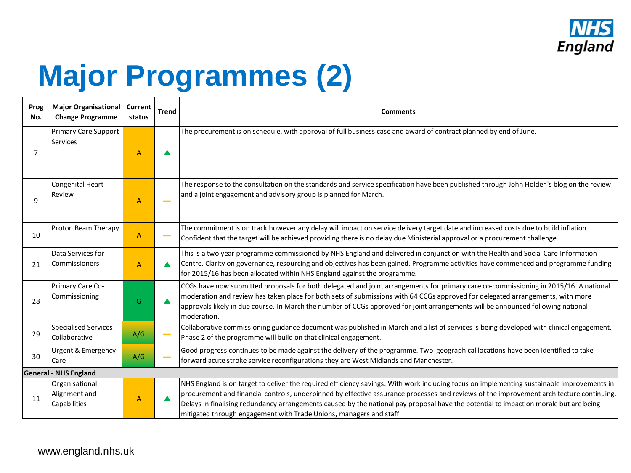

# **Major Programmes (2)**

| Prog<br>No. | Major Organisational<br><b>Change Programme</b>                                                                                                                                                                                                                | Current<br>status                                                                                                                                                                                                                                                                                                                                                      | <b>Trend</b> | Comments                                                                                                                                                                                                                                                                                                                                                                                                                                                                                               |  |
|-------------|----------------------------------------------------------------------------------------------------------------------------------------------------------------------------------------------------------------------------------------------------------------|------------------------------------------------------------------------------------------------------------------------------------------------------------------------------------------------------------------------------------------------------------------------------------------------------------------------------------------------------------------------|--------------|--------------------------------------------------------------------------------------------------------------------------------------------------------------------------------------------------------------------------------------------------------------------------------------------------------------------------------------------------------------------------------------------------------------------------------------------------------------------------------------------------------|--|
| 7           | <b>Primary Care Support</b><br><b>Services</b>                                                                                                                                                                                                                 | $\overline{A}$                                                                                                                                                                                                                                                                                                                                                         |              | The procurement is on schedule, with approval of full business case and award of contract planned by end of June.                                                                                                                                                                                                                                                                                                                                                                                      |  |
| 9           | <b>Congenital Heart</b><br>Review                                                                                                                                                                                                                              | $\overline{A}$                                                                                                                                                                                                                                                                                                                                                         |              | The response to the consultation on the standards and service specification have been published through John Holden's blog on the review<br>and a joint engagement and advisory group is planned for March.                                                                                                                                                                                                                                                                                            |  |
| 10          | Proton Beam Therapy                                                                                                                                                                                                                                            | $\overline{A}$                                                                                                                                                                                                                                                                                                                                                         |              | The commitment is on track however any delay will impact on service delivery target date and increased costs due to build inflation.<br>Confident that the target will be achieved providing there is no delay due Ministerial approval or a procurement challenge.                                                                                                                                                                                                                                    |  |
| 21          | Data Services for<br>Commissioners                                                                                                                                                                                                                             | This is a two year programme commissioned by NHS England and delivered in conjunction with the Health and Social Care Information<br>Centre. Clarity on governance, resourcing and objectives has been gained. Programme activities have commenced and programme funding<br>$\overline{A}$<br>for 2015/16 has been allocated within NHS England against the programme. |              |                                                                                                                                                                                                                                                                                                                                                                                                                                                                                                        |  |
| 28          | Primary Care Co-<br>Commissioning                                                                                                                                                                                                                              | G                                                                                                                                                                                                                                                                                                                                                                      |              | CCGs have now submitted proposals for both delegated and joint arrangements for primary care co-commissioning in 2015/16. A national<br>moderation and review has taken place for both sets of submissions with 64 CCGs approved for delegated arrangements, with more<br>approvals likely in due course. In March the number of CCGs approved for joint arrangements will be announced following national<br>moderation.                                                                              |  |
| 29          | <b>Specialised Services</b><br>Collaborative                                                                                                                                                                                                                   | A/G                                                                                                                                                                                                                                                                                                                                                                    |              | Collaborative commissioning guidance document was published in March and a list of services is being developed with clinical engagement.<br>Phase 2 of the programme will build on that clinical engagement.                                                                                                                                                                                                                                                                                           |  |
| 30          | Good progress continues to be made against the delivery of the programme. Two geographical locations have been identified to take<br>Urgent & Emergency<br>A/G<br>forward acute stroke service reconfigurations they are West Midlands and Manchester.<br>Care |                                                                                                                                                                                                                                                                                                                                                                        |              |                                                                                                                                                                                                                                                                                                                                                                                                                                                                                                        |  |
|             | <b>General - NHS England</b>                                                                                                                                                                                                                                   |                                                                                                                                                                                                                                                                                                                                                                        |              |                                                                                                                                                                                                                                                                                                                                                                                                                                                                                                        |  |
| 11          | Organisational<br>Alignment and<br>Capabilities                                                                                                                                                                                                                | A                                                                                                                                                                                                                                                                                                                                                                      |              | NHS England is on target to deliver the required efficiency savings. With work including focus on implementing sustainable improvements in<br>procurement and financial controls, underpinned by effective assurance processes and reviews of the improvement architecture continuing.<br>Delays in finalising redundancy arrangements caused by the national pay proposal have the potential to impact on morale but are being<br>mitigated through engagement with Trade Unions, managers and staff. |  |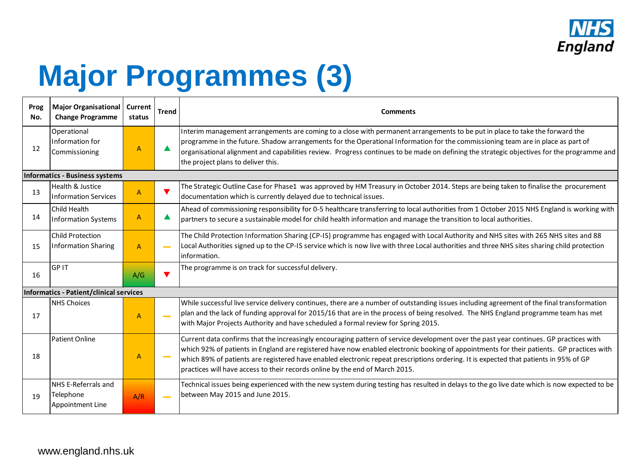

# **Major Programmes (3)**

| Prog<br>No.                    | Major Organisational   Current<br><b>Change Programme</b> | status         | <b>Trend</b> | <b>Comments</b>                                                                                                                                                                                                                                                                                                                                                                                                                                                                                              |  |  |  |  |  |
|--------------------------------|-----------------------------------------------------------|----------------|--------------|--------------------------------------------------------------------------------------------------------------------------------------------------------------------------------------------------------------------------------------------------------------------------------------------------------------------------------------------------------------------------------------------------------------------------------------------------------------------------------------------------------------|--|--|--|--|--|
| 12                             | Operational<br>Information for<br>Commissioning           | A              |              | Interim management arrangements are coming to a close with permanent arrangements to be put in place to take the forward the<br>programme in the future. Shadow arrangements for the Operational Information for the commissioning team are in place as part of<br>organisational alignment and capabilities review. Progress continues to be made on defining the strategic objectives for the programme and<br>the project plans to deliver this.                                                          |  |  |  |  |  |
| Informatics - Business systems |                                                           |                |              |                                                                                                                                                                                                                                                                                                                                                                                                                                                                                                              |  |  |  |  |  |
| 13                             | Health & Justice<br><b>Information Services</b>           | $\mathsf{A}$   |              | The Strategic Outline Case for Phase1 was approved by HM Treasury in October 2014. Steps are being taken to finalise the procurement<br>documentation which is currently delayed due to technical issues.                                                                                                                                                                                                                                                                                                    |  |  |  |  |  |
| 14                             | Child Health<br><b>Information Systems</b>                | $\overline{A}$ |              | Ahead of commissioning responsibility for 0-5 healthcare transferring to local authorities from 1 October 2015 NHS England is working with<br>partners to secure a sustainable model for child health information and manage the transition to local authorities.                                                                                                                                                                                                                                            |  |  |  |  |  |
| 15                             | <b>Child Protection</b><br>Information Sharing            | $\overline{A}$ |              | The Child Protection Information Sharing (CP-IS) programme has engaged with Local Authority and NHS sites with 265 NHS sites and 88<br>Local Authorities signed up to the CP-IS service which is now live with three Local authorities and three NHS sites sharing child protection<br>information.                                                                                                                                                                                                          |  |  |  |  |  |
| 16                             | <b>GPIT</b>                                               | A/G            |              | The programme is on track for successful delivery.                                                                                                                                                                                                                                                                                                                                                                                                                                                           |  |  |  |  |  |
|                                | Informatics - Patient/clinical services                   |                |              |                                                                                                                                                                                                                                                                                                                                                                                                                                                                                                              |  |  |  |  |  |
| 17                             | <b>NHS Choices</b>                                        | A              |              | While successful live service delivery continues, there are a number of outstanding issues including agreement of the final transformation<br>plan and the lack of funding approval for 2015/16 that are in the process of being resolved. The NHS England programme team has met<br>with Major Projects Authority and have scheduled a formal review for Spring 2015.                                                                                                                                       |  |  |  |  |  |
| 18                             | Patient Online                                            | A              |              | Current data confirms that the increasingly encouraging pattern of service development over the past year continues. GP practices with<br>which 92% of patients in England are registered have now enabled electronic booking of appointments for their patients. GP practices with<br>which 89% of patients are registered have enabled electronic repeat prescriptions ordering. It is expected that patients in 95% of GP<br>practices will have access to their records online by the end of March 2015. |  |  |  |  |  |
| 19                             | NHS E-Referrals and<br>Telephone<br>Appointment Line      | A/R            |              | Technical issues being experienced with the new system during testing has resulted in delays to the go live date which is now expected to be<br>between May 2015 and June 2015.                                                                                                                                                                                                                                                                                                                              |  |  |  |  |  |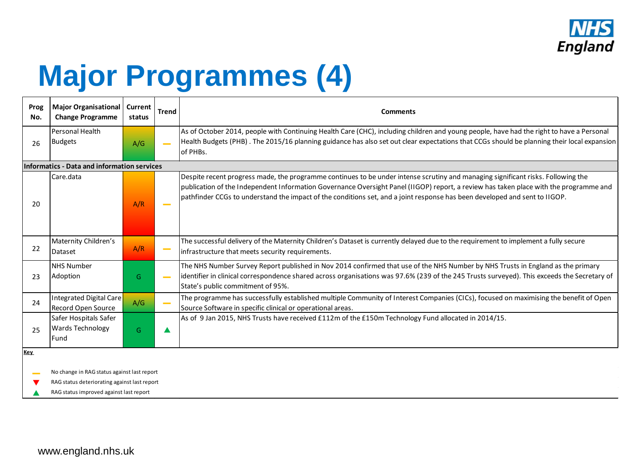

# **Major Programmes (4)**

| Prog<br>No. | <b>Major Organisational</b><br><b>Change Programme</b>    | Current<br>status | <b>Trend</b> | <b>Comments</b>                                                                                                                                                                                                                                                                                                                                                                                         |  |  |  |  |  |  |  |  |
|-------------|-----------------------------------------------------------|-------------------|--------------|---------------------------------------------------------------------------------------------------------------------------------------------------------------------------------------------------------------------------------------------------------------------------------------------------------------------------------------------------------------------------------------------------------|--|--|--|--|--|--|--|--|
| 26          | Personal Health<br>Budgets                                | A/G               |              | As of October 2014, people with Continuing Health Care (CHC), including children and young people, have had the right to have a Personal<br>Health Budgets (PHB). The 2015/16 planning guidance has also set out clear expectations that CCGs should be planning their local expansion<br>of PHBs.                                                                                                      |  |  |  |  |  |  |  |  |
|             | Informatics - Data and information services               |                   |              |                                                                                                                                                                                                                                                                                                                                                                                                         |  |  |  |  |  |  |  |  |
| 20          | Care.data                                                 | A/R               |              | Despite recent progress made, the programme continues to be under intense scrutiny and managing significant risks. Following the<br>publication of the Independent Information Governance Oversight Panel (IIGOP) report, a review has taken place with the programme and<br>pathfinder CCGs to understand the impact of the conditions set, and a joint response has been developed and sent to IIGOP. |  |  |  |  |  |  |  |  |
| 22          | Maternity Children's<br>Dataset                           | A/R               |              | The successful delivery of the Maternity Children's Dataset is currently delayed due to the requirement to implement a fully secure<br>infrastructure that meets security requirements.                                                                                                                                                                                                                 |  |  |  |  |  |  |  |  |
| 23          | <b>NHS Number</b><br>Adoption                             | G                 |              | The NHS Number Survey Report published in Nov 2014 confirmed that use of the NHS Number by NHS Trusts in England as the primary<br>identifier in clinical correspondence shared across organisations was 97.6% (239 of the 245 Trusts surveyed). This exceeds the Secretary of<br>State's public commitment of 95%.                                                                                     |  |  |  |  |  |  |  |  |
| 24          | Integrated Digital Care<br><b>Record Open Source</b>      | A/G               |              | The programme has successfully established multiple Community of Interest Companies (CICs), focused on maximising the benefit of Open<br>Source Software in specific clinical or operational areas.                                                                                                                                                                                                     |  |  |  |  |  |  |  |  |
| 25          | Safer Hospitals Safer<br><b>Wards Technology</b><br>lFund | G                 |              | As of 9 Jan 2015, NHS Trusts have received £112m of the £150m Technology Fund allocated in 2014/15.                                                                                                                                                                                                                                                                                                     |  |  |  |  |  |  |  |  |
| Key         | No change in RAG status against last report               |                   |              |                                                                                                                                                                                                                                                                                                                                                                                                         |  |  |  |  |  |  |  |  |
|             | RAG status deteriorating against last report              |                   |              |                                                                                                                                                                                                                                                                                                                                                                                                         |  |  |  |  |  |  |  |  |

RAG status improved against last report